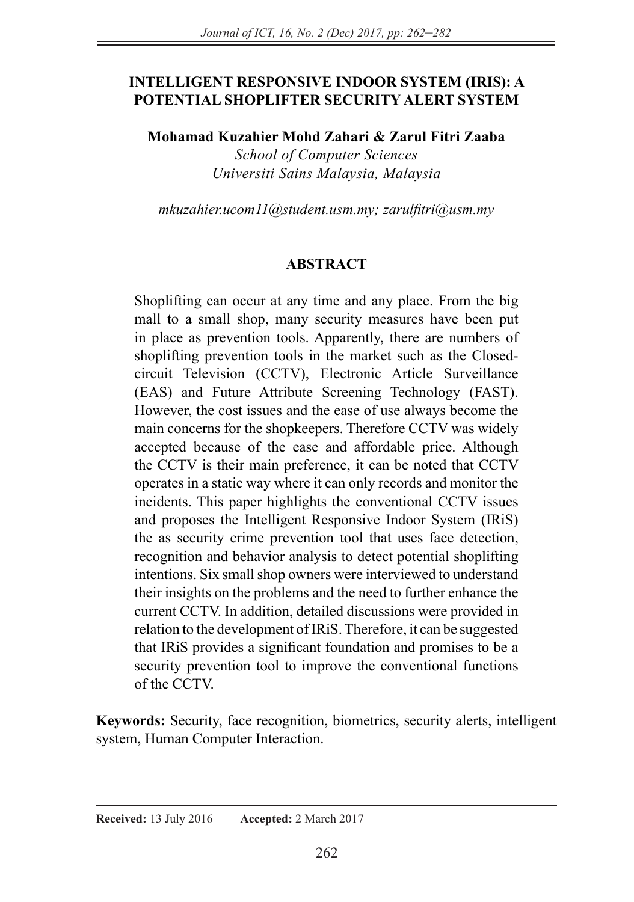#### **INTELLIGENT RESPONSIVE INDOOR SYSTEM (IRIS): A POTENTIAL SHOPLIFTER SECURITY ALERT SYSTEM**

**Mohamad Kuzahier Mohd Zahari & Zarul Fitri Zaaba** 

*School of Computer Sciences Universiti Sains Malaysia, Malaysia* 

*mkuzahier.ucom11@student.usm.my; zarulfitri@usm.my*

#### **ABSTRACT**

Shoplifting can occur at any time and any place. From the big mall to a small shop, many security measures have been put in place as prevention tools. Apparently, there are numbers of shoplifting prevention tools in the market such as the Closedcircuit Television (CCTV), Electronic Article Surveillance (EAS) and Future Attribute Screening Technology (FAST). However, the cost issues and the ease of use always become the main concerns for the shopkeepers. Therefore CCTV was widely accepted because of the ease and affordable price. Although the CCTV is their main preference, it can be noted that CCTV operates in a static way where it can only records and monitor the incidents. This paper highlights the conventional CCTV issues and proposes the Intelligent Responsive Indoor System (IRiS) the as security crime prevention tool that uses face detection, recognition and behavior analysis to detect potential shoplifting intentions. Six small shop owners were interviewed to understand their insights on the problems and the need to further enhance the current CCTV. In addition, detailed discussions were provided in relation to the development of IRiS. Therefore, it can be suggested that IRiS provides a significant foundation and promises to be a security prevention tool to improve the conventional functions of the CCTV.

**Keywords:** Security, face recognition, biometrics, security alerts, intelligent system, Human Computer Interaction.

#### **Received:** 13 July 2016 **Accepted:** 2 March 2017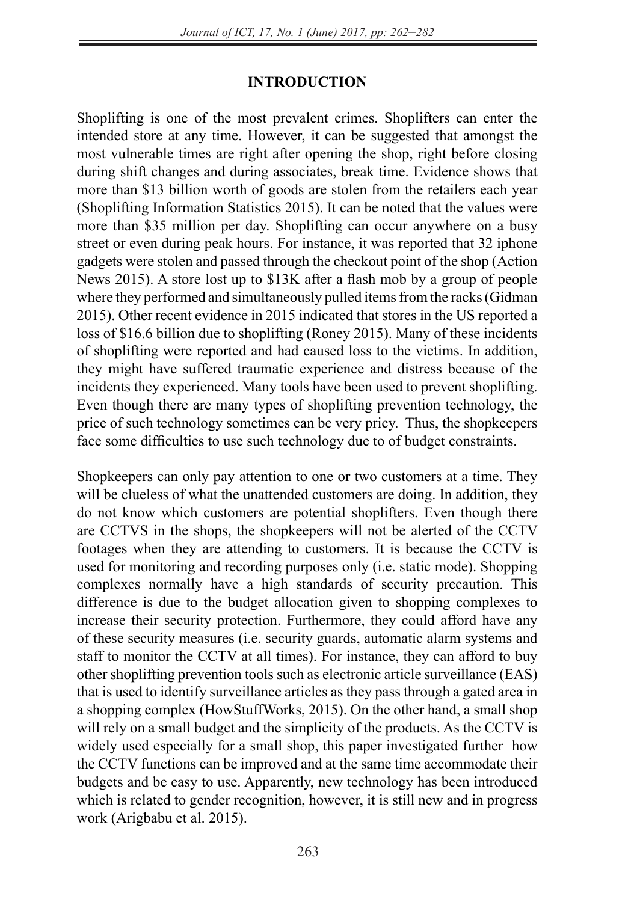#### **INTRODUCTION**

Shoplifting is one of the most prevalent crimes. Shoplifters can enter the intended store at any time. However, it can be suggested that amongst the most vulnerable times are right after opening the shop, right before closing during shift changes and during associates, break time. Evidence shows that more than \$13 billion worth of goods are stolen from the retailers each year (Shoplifting Information Statistics 2015). It can be noted that the values were more than \$35 million per day. Shoplifting can occur anywhere on a busy street or even during peak hours. For instance, it was reported that 32 iphone gadgets were stolen and passed through the checkout point of the shop (Action News 2015). A store lost up to \$13K after a flash mob by a group of people where they performed and simultaneously pulled items from the racks (Gidman 2015). Other recent evidence in 2015 indicated that stores in the US reported a loss of \$16.6 billion due to shoplifting (Roney 2015). Many of these incidents of shoplifting were reported and had caused loss to the victims. In addition, they might have suffered traumatic experience and distress because of the incidents they experienced. Many tools have been used to prevent shoplifting. Even though there are many types of shoplifting prevention technology, the price of such technology sometimes can be very pricy. Thus, the shopkeepers face some difficulties to use such technology due to of budget constraints.

Shopkeepers can only pay attention to one or two customers at a time. They will be clueless of what the unattended customers are doing. In addition, they do not know which customers are potential shoplifters. Even though there are CCTVS in the shops, the shopkeepers will not be alerted of the CCTV footages when they are attending to customers. It is because the CCTV is used for monitoring and recording purposes only (i.e. static mode). Shopping complexes normally have a high standards of security precaution. This difference is due to the budget allocation given to shopping complexes to increase their security protection. Furthermore, they could afford have any of these security measures (i.e. security guards, automatic alarm systems and staff to monitor the CCTV at all times). For instance, they can afford to buy other shoplifting prevention tools such as electronic article surveillance (EAS) that is used to identify surveillance articles as they pass through a gated area in a shopping complex (HowStuffWorks, 2015). On the other hand, a small shop will rely on a small budget and the simplicity of the products. As the CCTV is widely used especially for a small shop, this paper investigated further how the CCTV functions can be improved and at the same time accommodate their budgets and be easy to use. Apparently, new technology has been introduced which is related to gender recognition, however, it is still new and in progress work (Arigbabu et al. 2015).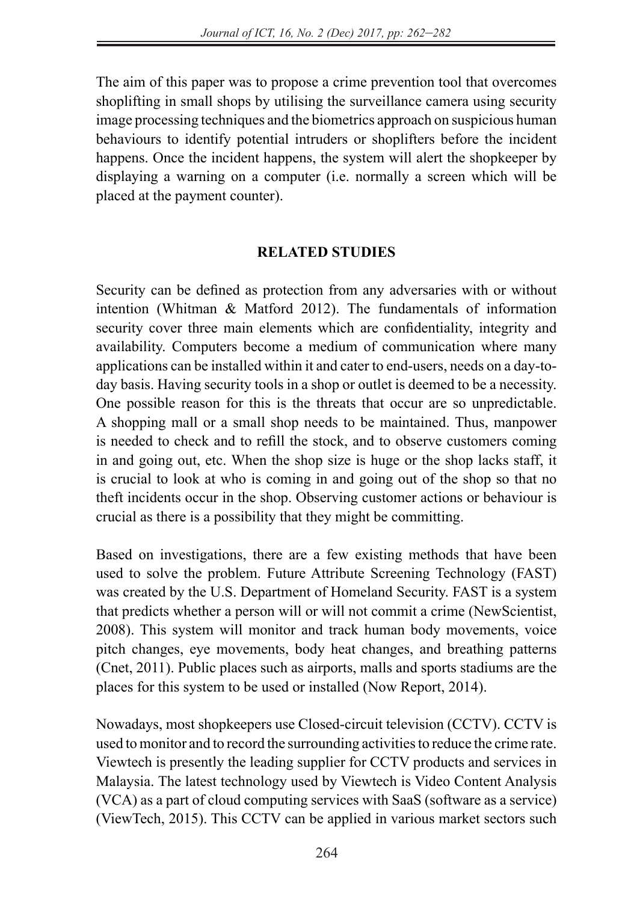The aim of this paper was to propose a crime prevention tool that overcomes shoplifting in small shops by utilising the surveillance camera using security image processing techniques and the biometrics approach on suspicious human behaviours to identify potential intruders or shoplifters before the incident happens. Once the incident happens, the system will alert the shopkeeper by displaying a warning on a computer (i.e. normally a screen which will be placed at the payment counter).

#### **RELATED STUDIES**

Security can be defined as protection from any adversaries with or without intention (Whitman & Matford 2012). The fundamentals of information security cover three main elements which are confidentiality, integrity and availability. Computers become a medium of communication where many applications can be installed within it and cater to end-users, needs on a day-today basis. Having security tools in a shop or outlet is deemed to be a necessity. One possible reason for this is the threats that occur are so unpredictable. A shopping mall or a small shop needs to be maintained. Thus, manpower is needed to check and to refill the stock, and to observe customers coming in and going out, etc. When the shop size is huge or the shop lacks staff, it is crucial to look at who is coming in and going out of the shop so that no theft incidents occur in the shop. Observing customer actions or behaviour is crucial as there is a possibility that they might be committing.

Based on investigations, there are a few existing methods that have been used to solve the problem. Future Attribute Screening Technology (FAST) was created by the U.S. Department of Homeland Security. FAST is a system that predicts whether a person will or will not commit a crime (NewScientist, 2008). This system will monitor and track human body movements, voice pitch changes, eye movements, body heat changes, and breathing patterns (Cnet, 2011). Public places such as airports, malls and sports stadiums are the places for this system to be used or installed (Now Report, 2014).

Nowadays, most shopkeepers use Closed-circuit television (CCTV). CCTV is used to monitor and to record the surrounding activities to reduce the crime rate. Viewtech is presently the leading supplier for CCTV products and services in Malaysia. The latest technology used by Viewtech is Video Content Analysis (VCA) as a part of cloud computing services with SaaS (software as a service) (ViewTech, 2015). This CCTV can be applied in various market sectors such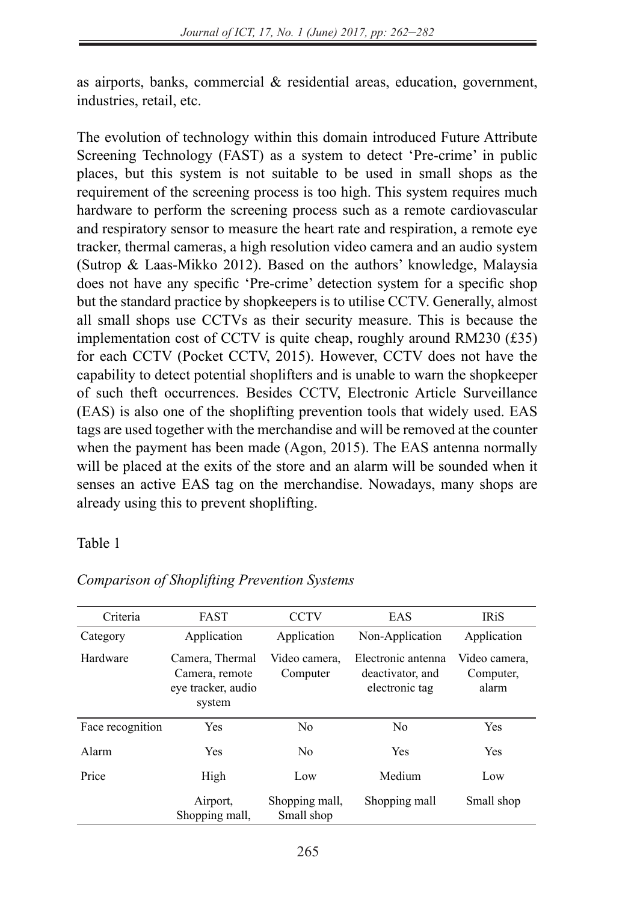as airports, banks, commercial & residential areas, education, government, industries, retail, etc.

The evolution of technology within this domain introduced Future Attribute Screening Technology (FAST) as a system to detect 'Pre-crime' in public places, but this system is not suitable to be used in small shops as the requirement of the screening process is too high. This system requires much hardware to perform the screening process such as a remote cardiovascular and respiratory sensor to measure the heart rate and respiration, a remote eye tracker, thermal cameras, a high resolution video camera and an audio system (Sutrop & Laas-Mikko 2012). Based on the authors' knowledge, Malaysia does not have any specific 'Pre-crime' detection system for a specific shop but the standard practice by shopkeepers is to utilise CCTV. Generally, almost all small shops use CCTVs as their security measure. This is because the implementation cost of CCTV is quite cheap, roughly around RM230 (£35) for each CCTV (Pocket CCTV, 2015). However, CCTV does not have the capability to detect potential shoplifters and is unable to warn the shopkeeper of such theft occurrences. Besides CCTV, Electronic Article Surveillance (EAS) is also one of the shoplifting prevention tools that widely used. EAS tags are used together with the merchandise and will be removed at the counter when the payment has been made (Agon, 2015). The EAS antenna normally will be placed at the exits of the store and an alarm will be sounded when it senses an active EAS tag on the merchandise. Nowadays, many shops are already using this to prevent shoplifting.

#### Table 1

| Criteria         | <b>FAST</b>                                                                                    | <b>CCTV</b>                  | EAS                                                      | <b>IRiS</b>                         |
|------------------|------------------------------------------------------------------------------------------------|------------------------------|----------------------------------------------------------|-------------------------------------|
| Category         | Application                                                                                    | Application                  | Non-Application                                          | Application                         |
| Hardware         | Camera, Thermal<br>Video camera.<br>Computer<br>Camera, remote<br>eye tracker, audio<br>system |                              | Electronic antenna<br>deactivator, and<br>electronic tag | Video camera.<br>Computer,<br>alarm |
| Face recognition | Yes                                                                                            | N <sub>0</sub>               | N <sub>0</sub>                                           | Yes                                 |
| Alarm            | Yes                                                                                            | N <sub>0</sub>               | <b>Yes</b>                                               | Yes                                 |
| Price            | High                                                                                           | Low                          | Medium                                                   | Low                                 |
|                  | Airport,<br>Shopping mall.                                                                     | Shopping mall,<br>Small shop | Shopping mall                                            | Small shop                          |

#### *Comparison of Shoplifting Prevention Systems*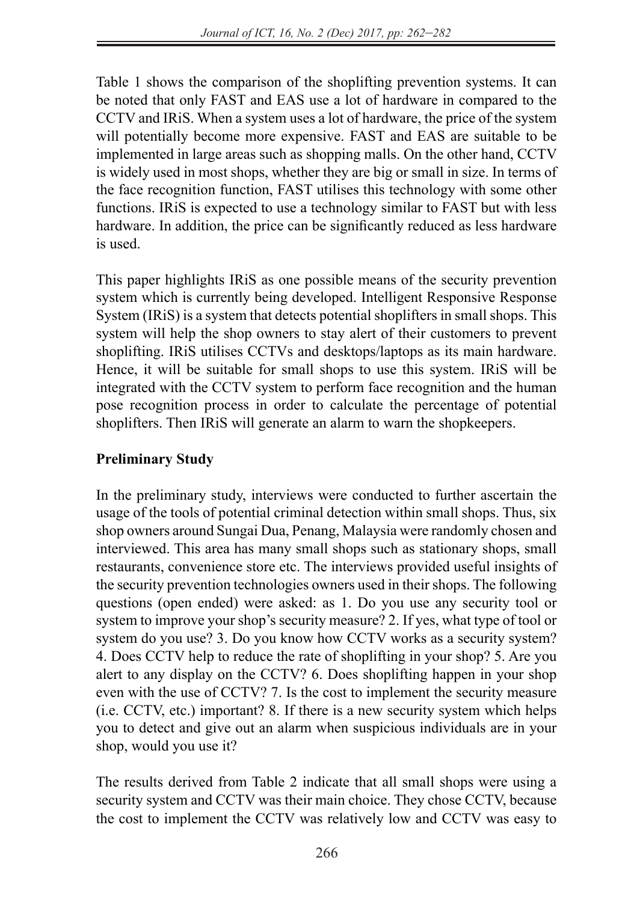Table 1 shows the comparison of the shoplifting prevention systems. It can be noted that only FAST and EAS use a lot of hardware in compared to the CCTV and IRiS. When a system uses a lot of hardware, the price of the system will potentially become more expensive. FAST and EAS are suitable to be implemented in large areas such as shopping malls. On the other hand, CCTV is widely used in most shops, whether they are big or small in size. In terms of the face recognition function, FAST utilises this technology with some other functions. IRiS is expected to use a technology similar to FAST but with less hardware. In addition, the price can be significantly reduced as less hardware is used.

This paper highlights IRiS as one possible means of the security prevention system which is currently being developed. Intelligent Responsive Response System (IRiS) is a system that detects potential shoplifters in small shops. This system will help the shop owners to stay alert of their customers to prevent shoplifting. IRiS utilises CCTVs and desktops/laptops as its main hardware. Hence, it will be suitable for small shops to use this system. IRiS will be integrated with the CCTV system to perform face recognition and the human pose recognition process in order to calculate the percentage of potential shoplifters. Then IRiS will generate an alarm to warn the shopkeepers.

# **Preliminary Study**

In the preliminary study, interviews were conducted to further ascertain the usage of the tools of potential criminal detection within small shops. Thus, six shop owners around Sungai Dua, Penang, Malaysia were randomly chosen and interviewed. This area has many small shops such as stationary shops, small restaurants, convenience store etc. The interviews provided useful insights of the security prevention technologies owners used in their shops. The following questions (open ended) were asked: as 1. Do you use any security tool or system to improve your shop's security measure? 2. If yes, what type of tool or system do you use? 3. Do you know how CCTV works as a security system? 4. Does CCTV help to reduce the rate of shoplifting in your shop? 5. Are you alert to any display on the CCTV? 6. Does shoplifting happen in your shop even with the use of CCTV? 7. Is the cost to implement the security measure (i.e. CCTV, etc.) important? 8. If there is a new security system which helps you to detect and give out an alarm when suspicious individuals are in your shop, would you use it?

The results derived from Table 2 indicate that all small shops were using a security system and CCTV was their main choice. They chose CCTV, because the cost to implement the CCTV was relatively low and CCTV was easy to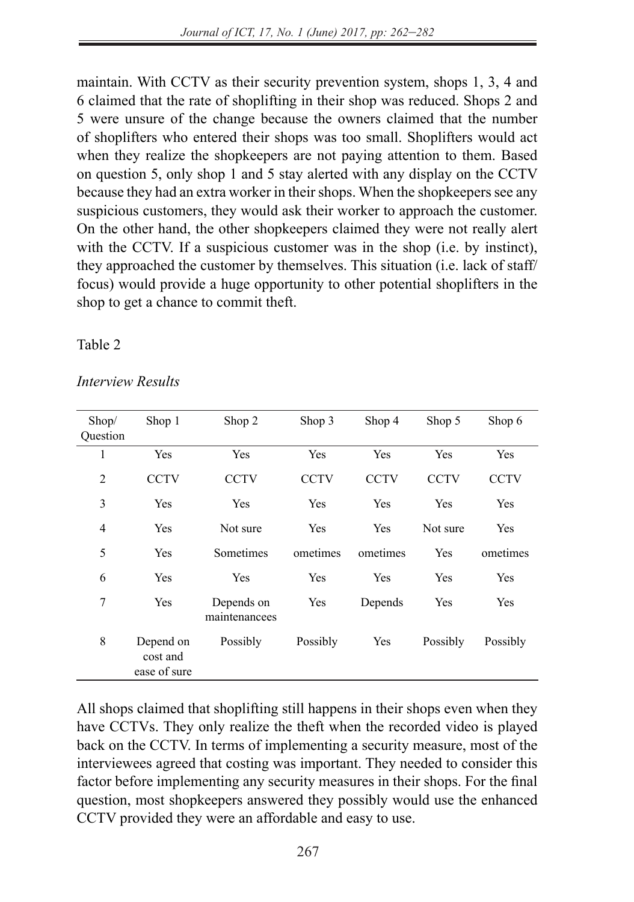maintain. With CCTV as their security prevention system, shops 1, 3, 4 and 6 claimed that the rate of shoplifting in their shop was reduced. Shops 2 and 5 were unsure of the change because the owners claimed that the number of shoplifters who entered their shops was too small. Shoplifters would act when they realize the shopkeepers are not paying attention to them. Based on question 5, only shop 1 and 5 stay alerted with any display on the CCTV because they had an extra worker in their shops. When the shopkeepers see any suspicious customers, they would ask their worker to approach the customer. On the other hand, the other shopkeepers claimed they were not really alert with the CCTV. If a suspicious customer was in the shop (i.e. by instinct), they approached the customer by themselves. This situation (i.e. lack of staff/ focus) would provide a huge opportunity to other potential shoplifters in the shop to get a chance to commit theft.

#### Table 2

| Shop/<br>Question | Shop 1                                | Shop 2                      | Shop 3      | Shop 4      | Shop 5      | Shop 6      |
|-------------------|---------------------------------------|-----------------------------|-------------|-------------|-------------|-------------|
| 1                 | Yes                                   | Yes                         | Yes         | Yes         | Yes         | Yes         |
| $\overline{2}$    | <b>CCTV</b>                           | <b>CCTV</b>                 | <b>CCTV</b> | <b>CCTV</b> | <b>CCTV</b> | <b>CCTV</b> |
| 3                 | Yes                                   | Yes                         | Yes         | Yes         | Yes         | Yes         |
| 4                 | Yes                                   | Not sure                    | Yes         | Yes         | Not sure    | Yes         |
| 5                 | Yes                                   | Sometimes                   | ometimes    | ometimes    | Yes         | ometimes    |
| 6                 | Yes                                   | Yes                         | Yes         | Yes         | Yes         | Yes         |
| 7                 | Yes                                   | Depends on<br>maintenancees | Yes         | Depends     | Yes         | Yes         |
| 8                 | Depend on<br>cost and<br>ease of sure | Possibly                    | Possibly    | Yes         | Possibly    | Possibly    |

#### *Interview Results*

All shops claimed that shoplifting still happens in their shops even when they have CCTVs. They only realize the theft when the recorded video is played back on the CCTV. In terms of implementing a security measure, most of the interviewees agreed that costing was important. They needed to consider this factor before implementing any security measures in their shops. For the final question, most shopkeepers answered they possibly would use the enhanced CCTV provided they were an affordable and easy to use.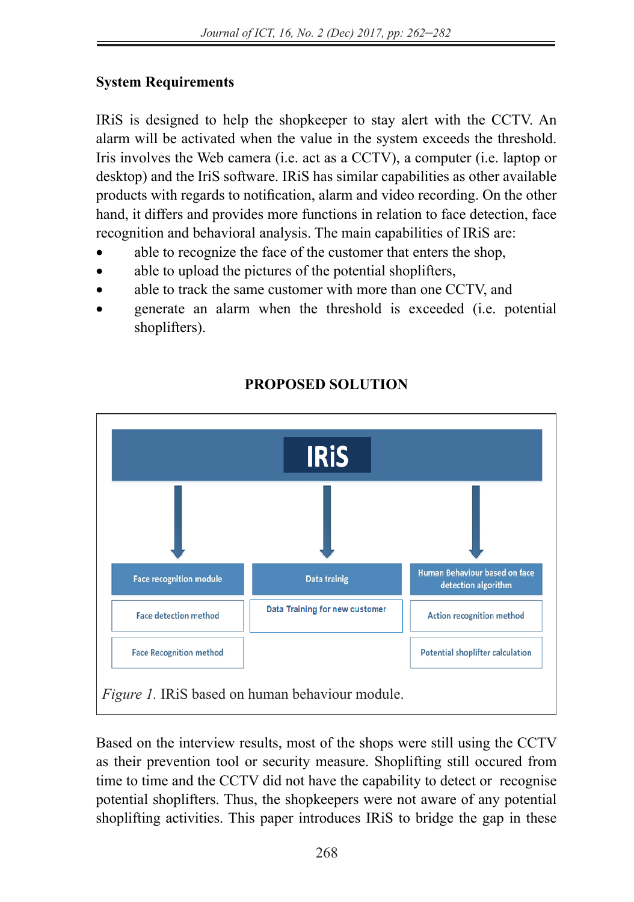# **System Requirements**

IRiS is designed to help the shopkeeper to stay alert with the CCTV. An alarm will be activated when the value in the system exceeds the threshold. Iris involves the Web camera (i.e. act as a CCTV), a computer (i.e. laptop or desktop) and the IriS software. IRiS has similar capabilities as other available products with regards to notification, alarm and video recording. On the other hand, it differs and provides more functions in relation to face detection, face recognition and behavioral analysis. The main capabilities of IRiS are:

- able to recognize the face of the customer that enters the shop,
- able to upload the pictures of the potential shoplifters,
- able to track the same customer with more than one CCTV, and
- generate an alarm when the threshold is exceeded (i.e. potential shoplifters).



# **PROPOSED SOLUTION**

Based on the interview results, most of the shops were still using the CCTV as their prevention tool or security measure. Shoplifting still occured from time to time and the CCTV did not have the capability to detect or recognise potential shoplifters. Thus, the shopkeepers were not aware of any potential shoplifting activities. This paper introduces IRiS to bridge the gap in these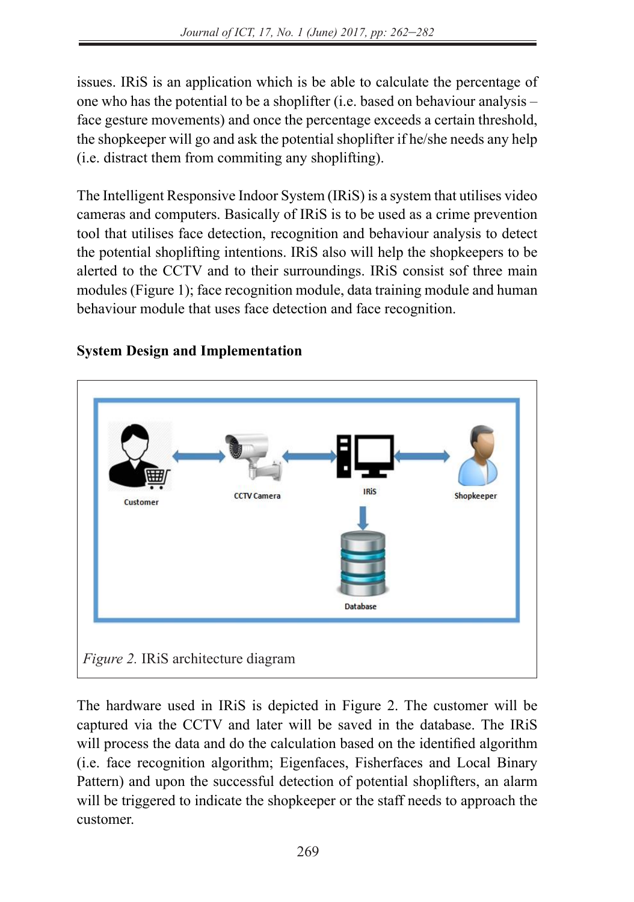issues. IRiS is an application which is be able to calculate the percentage of one who has the potential to be a shoplifter (i.e. based on behaviour analysis – face gesture movements) and once the percentage exceeds a certain threshold, the shopkeeper will go and ask the potential shoplifter if he/she needs any help (i.e. distract them from commiting any shoplifting).

The Intelligent Responsive Indoor System (IRiS) is a system that utilises video cameras and computers. Basically of IRiS is to be used as a crime prevention tool that utilises face detection, recognition and behaviour analysis to detect the potential shoplifting intentions. IRiS also will help the shopkeepers to be alerted to the CCTV and to their surroundings. IRiS consist sof three main modules (Figure 1); face recognition module, data training module and human behaviour module that uses face detection and face recognition.



# **System Design and Implementation**

The hardware used in IRiS is depicted in Figure 2. The customer will be captured via the CCTV and later will be saved in the database. The IRiS will process the data and do the calculation based on the identified algorithm (i.e. face recognition algorithm; Eigenfaces, Fisherfaces and Local Binary Pattern) and upon the successful detection of potential shoplifters, an alarm will be triggered to indicate the shopkeeper or the staff needs to approach the customer.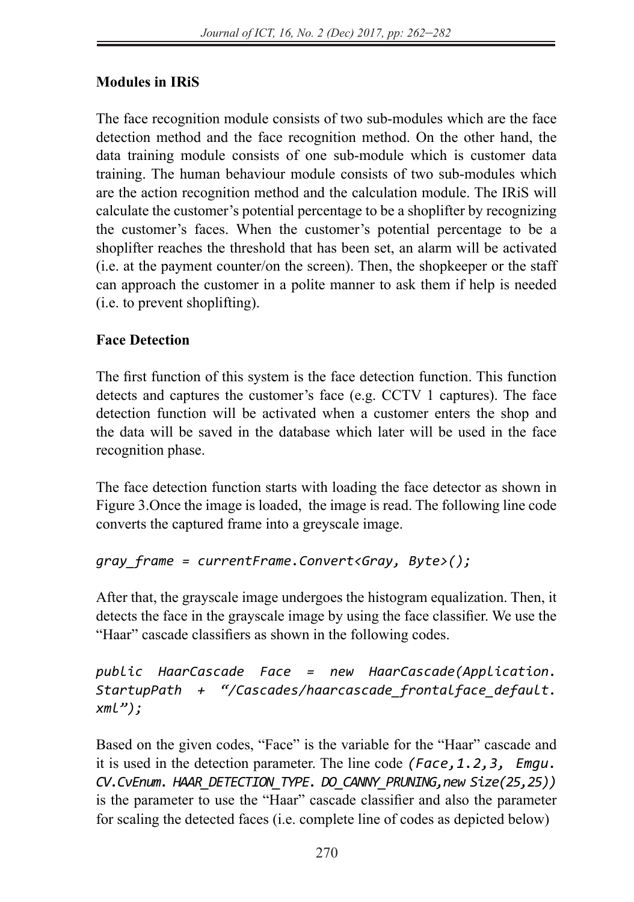# **Modules in IRiS**

The face recognition module consists of two sub-modules which are the face detection method and the face recognition method. On the other hand, the data training module consists of one sub-module which is customer data training. The human behaviour module consists of two sub-modules which are the action recognition method and the calculation module. The IRiS will calculate the customer's potential percentage to be a shoplifter by recognizing the customer's faces. When the customer's potential percentage to be a shoplifter reaches the threshold that has been set, an alarm will be activated (i.e. at the payment counter/on the screen). Then, the shopkeeper or the staff can approach the customer in a polite manner to ask them if help is needed (i.e. to prevent shoplifting).

# **Face Detection**

The first function of this system is the face detection function. This function detects and captures the customer's face (e.g. CCTV 1 captures). The face detection function will be activated when a customer enters the shop and the data will be saved in the database which later will be used in the face recognition phase.

The face detection function starts with loading the face detector as shown in Figure 3.Once the image is loaded, the image is read. The following line code converts the captured frame into a greyscale image.

# *gray\_frame = currentFrame.Convert<Gray, Byte>();*

After that, the grayscale image undergoes the histogram equalization. Then, it detects the face in the grayscale image by using the face classifier. We use the "Haar" cascade classifiers as shown in the following codes.

*public HaarCascade Face = new HaarCascade(Application. StartupPath + "/Cascades/haarcascade\_frontalface\_default. xml");*

Based on the given codes, "Face" is the variable for the "Haar" cascade and it is used in the detection parameter. The line code *(Face,1.2,3, Emgu. CV.CvEnum. HAAR\_DETECTION\_TYPE. DO\_CANNY\_PRUNING,new Size(25,25))* is the parameter to use the "Haar" cascade classifier and also the parameter for scaling the detected faces (i.e. complete line of codes as depicted below)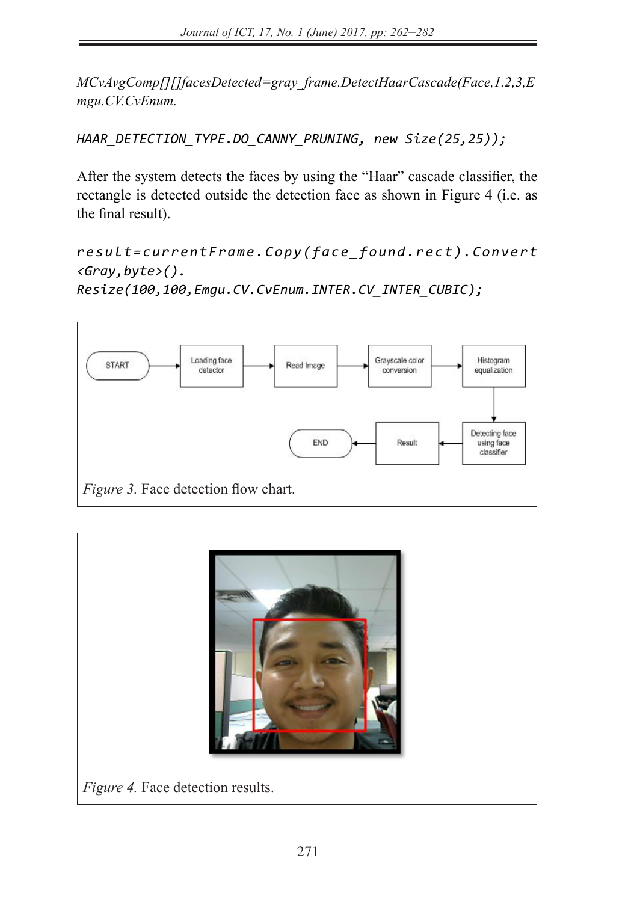*MCvAvgComp[][]facesDetected=gray\_frame.DetectHaarCascade(Face,1.2,3,E mgu.CV.CvEnum.*

*HAAR\_DETECTION\_TYPE.DO\_CANNY\_PRUNING, new Size(25,25));*

After the system detects the faces by using the "Haar" cascade classifier, the rectangle is detected outside the detection face as shown in Figure 4 (i.e. as the final result).

*r e s u l t = c u r r e n t F r a m e . C o p y ( f a c e \_ f o u n d . r e c t ) . C o n v e r t <Gray,byte>(). Resize(100,100,Emgu.CV.CvEnum.INTER.CV\_INTER\_CUBIC);*





*Figure 4.* Face detection results.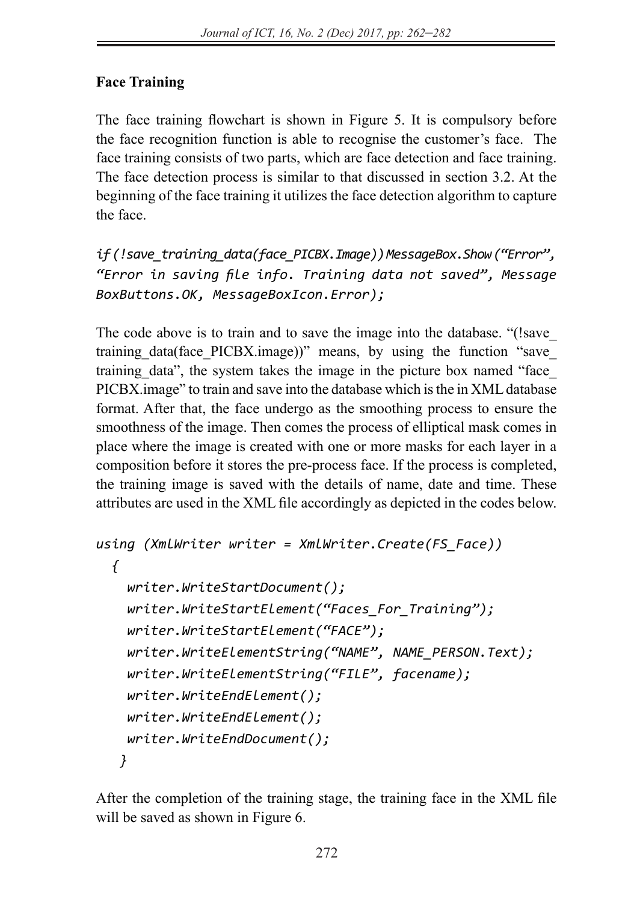# **Face Training**

The face training flowchart is shown in Figure 5. It is compulsory before the face recognition function is able to recognise the customer's face. The face training consists of two parts, which are face detection and face training. The face detection process is similar to that discussed in section 3.2. At the beginning of the face training it utilizes the face detection algorithm to capture the face.

*if (!save\_training\_data(face\_PICBX.Image)) MessageBox.Show ("Error", "Error in saving file info. Training data not saved", Message BoxButtons.OK, MessageBoxIcon.Error);*

The code above is to train and to save the image into the database. "(!save\_ training data(face PICBX.image))" means, by using the function "save training data", the system takes the image in the picture box named "face PICBX.image" to train and save into the database which is the in XML database format. After that, the face undergo as the smoothing process to ensure the smoothness of the image. Then comes the process of elliptical mask comes in place where the image is created with one or more masks for each layer in a composition before it stores the pre-process face. If the process is completed, the training image is saved with the details of name, date and time. These attributes are used in the XML file accordingly as depicted in the codes below.

```
using (XmlWriter writer = XmlWriter.Create(FS_Face))
{
  writer.WriteStartDocument();
  writer.WriteStartElement("Faces_For_Training");
  writer.WriteStartElement("FACE");
  writer.WriteElementString("NAME", NAME_PERSON.Text);
  writer.WriteElementString("FILE", facename);
  writer.WriteEndElement();
  writer.WriteEndElement();
  writer.WriteEndDocument();
 }
```
After the completion of the training stage, the training face in the XML file will be saved as shown in Figure 6.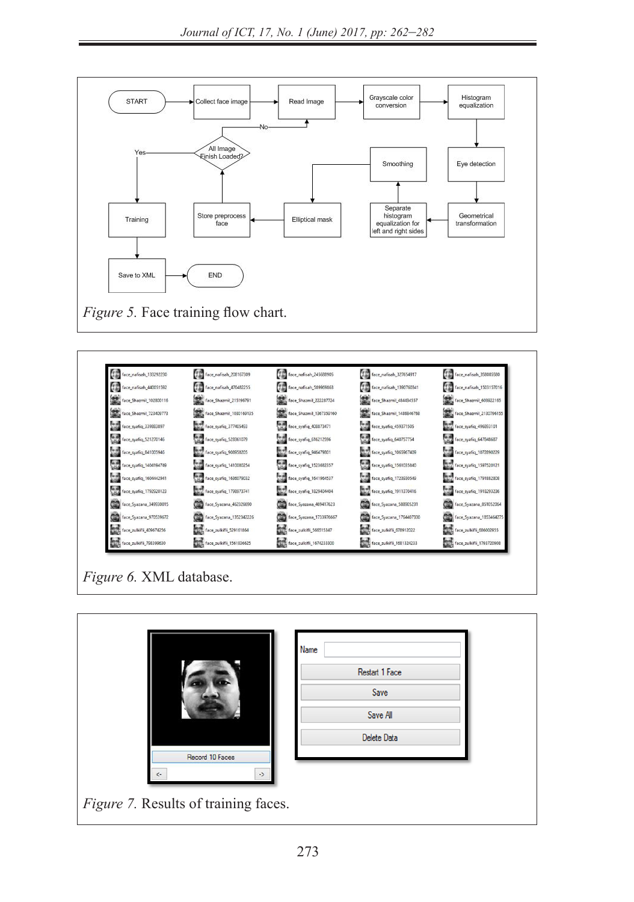



*Figure 6.* XML database.

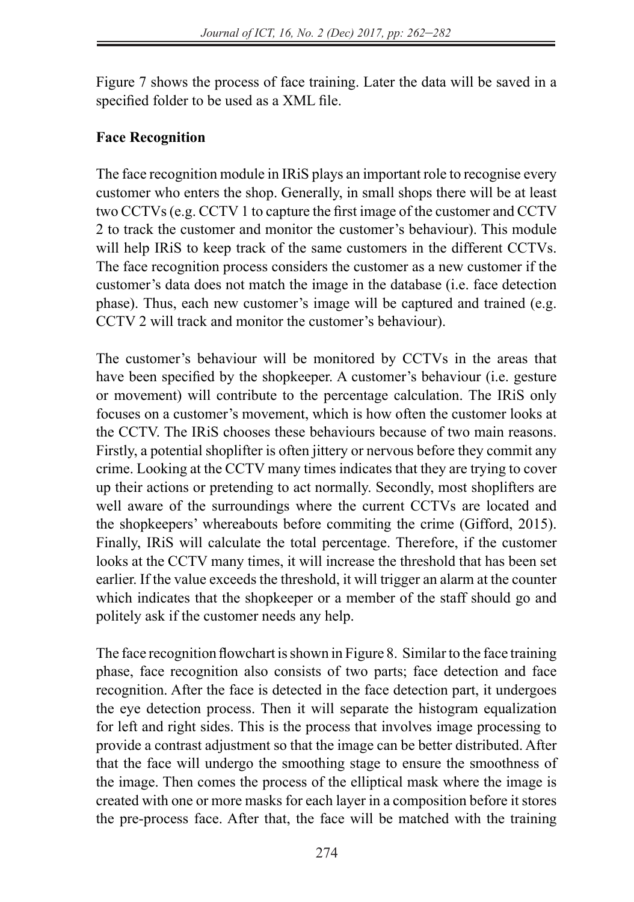Figure 7 shows the process of face training. Later the data will be saved in a specified folder to be used as a XML file.

#### **Face Recognition**

The face recognition module in IRiS plays an important role to recognise every customer who enters the shop. Generally, in small shops there will be at least two CCTVs (e.g. CCTV 1 to capture the first image of the customer and CCTV 2 to track the customer and monitor the customer's behaviour). This module will help IRiS to keep track of the same customers in the different CCTVs. The face recognition process considers the customer as a new customer if the customer's data does not match the image in the database (i.e. face detection phase). Thus, each new customer's image will be captured and trained (e.g. CCTV 2 will track and monitor the customer's behaviour).

The customer's behaviour will be monitored by CCTVs in the areas that have been specified by the shopkeeper. A customer's behaviour (i.e. gesture or movement) will contribute to the percentage calculation. The IRiS only focuses on a customer's movement, which is how often the customer looks at the CCTV. The IRiS chooses these behaviours because of two main reasons. Firstly, a potential shoplifter is often jittery or nervous before they commit any crime. Looking at the CCTV many times indicates that they are trying to cover up their actions or pretending to act normally. Secondly, most shoplifters are well aware of the surroundings where the current CCTVs are located and the shopkeepers' whereabouts before commiting the crime (Gifford, 2015). Finally, IRiS will calculate the total percentage. Therefore, if the customer looks at the CCTV many times, it will increase the threshold that has been set earlier. If the value exceeds the threshold, it will trigger an alarm at the counter which indicates that the shopkeeper or a member of the staff should go and politely ask if the customer needs any help.

The face recognition flowchart is shown in Figure 8. Similar to the face training phase, face recognition also consists of two parts; face detection and face recognition. After the face is detected in the face detection part, it undergoes the eye detection process. Then it will separate the histogram equalization for left and right sides. This is the process that involves image processing to provide a contrast adjustment so that the image can be better distributed. After that the face will undergo the smoothing stage to ensure the smoothness of the image. Then comes the process of the elliptical mask where the image is created with one or more masks for each layer in a composition before it stores the pre-process face. After that, the face will be matched with the training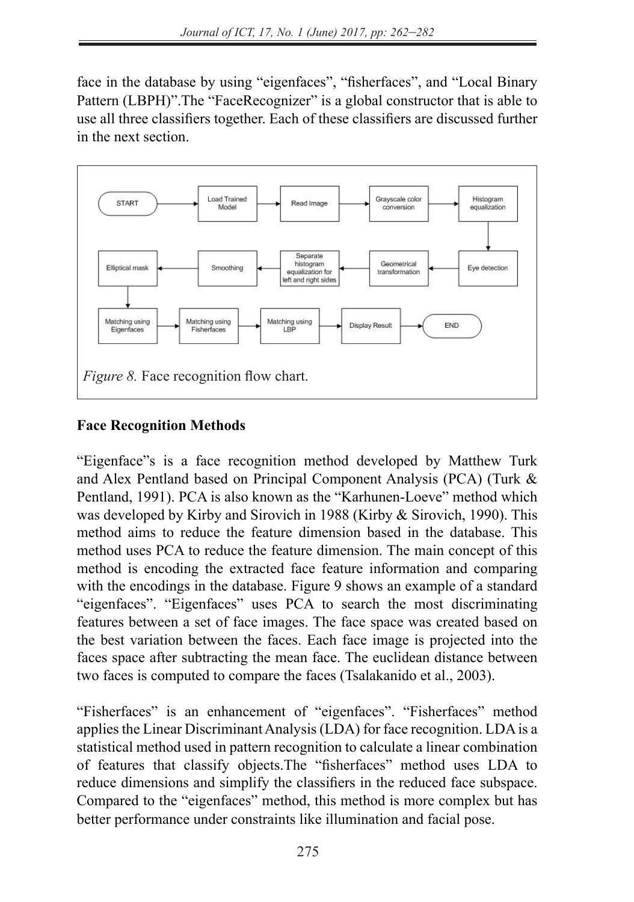face in the database by using "eigenfaces", "fisherfaces", and "Local Binary Pattern (LBPH)".The "FaceRecognizer" is a global constructor that is able to use all three classifiers together. Each of these classifiers are discussed further in the next section.



# **Face Recognition Methods**

"Eigenface"s is a face recognition method developed by Matthew Turk and Alex Pentland based on Principal Component Analysis (PCA) (Turk & Pentland, 1991). PCA is also known as the "Karhunen-Loeve" method which was developed by Kirby and Sirovich in 1988 (Kirby & Sirovich, 1990). This method aims to reduce the feature dimension based in the database. This method uses PCA to reduce the feature dimension. The main concept of this method is encoding the extracted face feature information and comparing with the encodings in the database. Figure 9 shows an example of a standard "eigenfaces". "Eigenfaces" uses PCA to search the most discriminating features between a set of face images. The face space was created based on the best variation between the faces. Each face image is projected into the faces space after subtracting the mean face. The euclidean distance between two faces is computed to compare the faces (Tsalakanido et al., 2003).

"Fisherfaces" is an enhancement of "eigenfaces". "Fisherfaces" method applies the Linear Discriminant Analysis (LDA) for face recognition. LDA is a statistical method used in pattern recognition to calculate a linear combination of features that classify objects.The "fisherfaces" method uses LDA to reduce dimensions and simplify the classifiers in the reduced face subspace. Compared to the "eigenfaces" method, this method is more complex but has better performance under constraints like illumination and facial pose.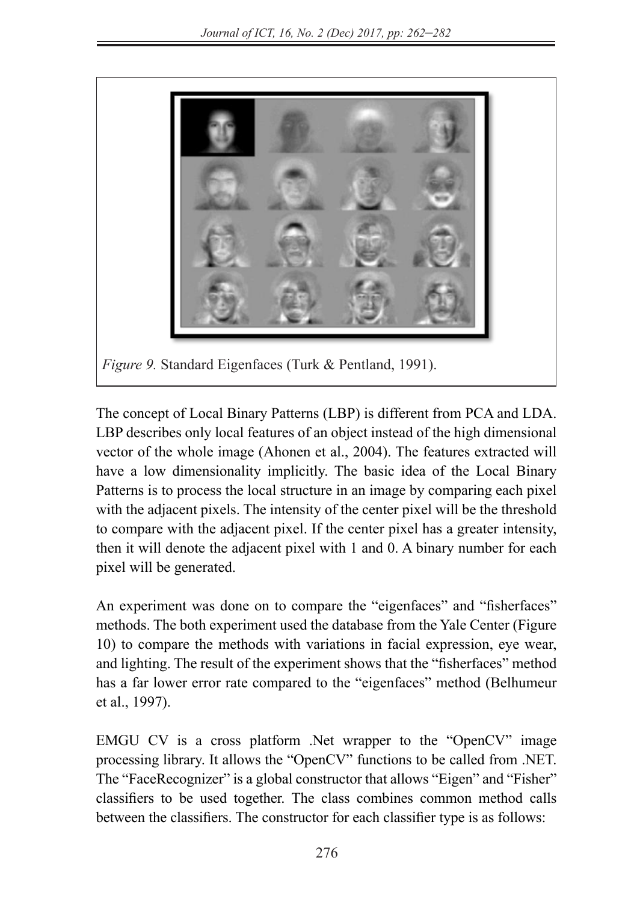

The concept of Local Binary Patterns (LBP) is different from PCA and LDA. LBP describes only local features of an object instead of the high dimensional vector of the whole image (Ahonen et al., 2004). The features extracted will have a low dimensionality implicitly. The basic idea of the Local Binary Patterns is to process the local structure in an image by comparing each pixel with the adjacent pixels. The intensity of the center pixel will be the threshold to compare with the adjacent pixel. If the center pixel has a greater intensity, then it will denote the adjacent pixel with 1 and 0. A binary number for each pixel will be generated.

An experiment was done on to compare the "eigenfaces" and "fisherfaces" methods. The both experiment used the database from the Yale Center (Figure 10) to compare the methods with variations in facial expression, eye wear, and lighting. The result of the experiment shows that the "fisherfaces" method has a far lower error rate compared to the "eigenfaces" method (Belhumeur et al., 1997).

EMGU CV is a cross platform .Net wrapper to the "OpenCV" image processing library. It allows the "OpenCV" functions to be called from .NET. The "FaceRecognizer" is a global constructor that allows "Eigen" and "Fisher" classifiers to be used together. The class combines common method calls between the classifiers. The constructor for each classifier type is as follows: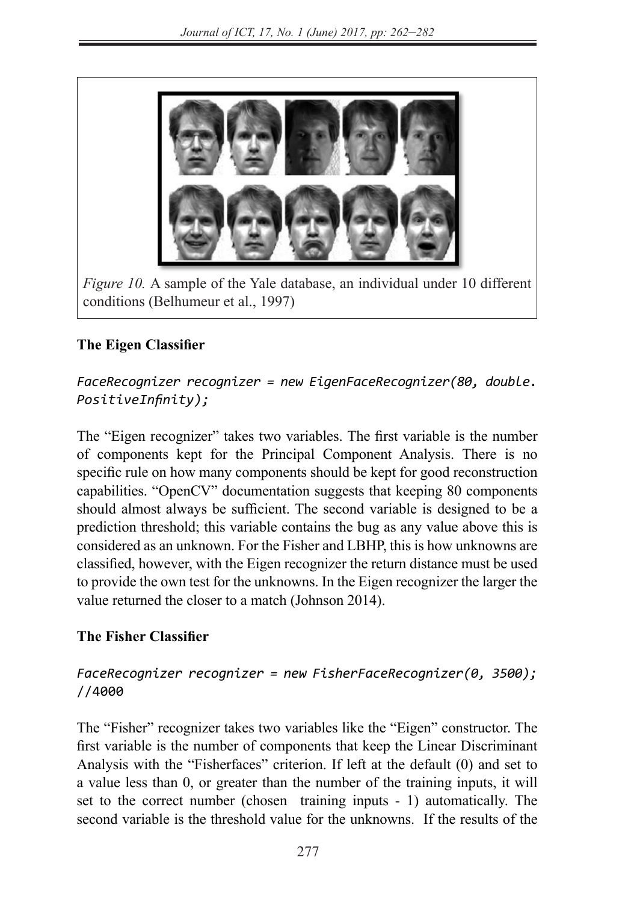

*Figure 10.* A sample of the Yale database, an individual under 10 different conditions (Belhumeur et al., 1997)

#### **The Eigen Classifier**

#### *FaceRecognizer recognizer = new EigenFaceRecognizer(80, double. PositiveInfinity);*

The "Eigen recognizer" takes two variables. The first variable is the number of components kept for the Principal Component Analysis. There is no specific rule on how many components should be kept for good reconstruction capabilities. "OpenCV" documentation suggests that keeping 80 components should almost always be sufficient. The second variable is designed to be a prediction threshold; this variable contains the bug as any value above this is considered as an unknown. For the Fisher and LBHP, this is how unknowns are classified, however, with the Eigen recognizer the return distance must be used to provide the own test for the unknowns. In the Eigen recognizer the larger the value returned the closer to a match (Johnson 2014).

# **The Fisher Classifier**

#### *FaceRecognizer recognizer = new FisherFaceRecognizer(0, 3500);*  //4000

The "Fisher" recognizer takes two variables like the "Eigen" constructor. The first variable is the number of components that keep the Linear Discriminant Analysis with the "Fisherfaces" criterion. If left at the default (0) and set to a value less than 0, or greater than the number of the training inputs, it will set to the correct number (chosen training inputs - 1) automatically. The second variable is the threshold value for the unknowns. If the results of the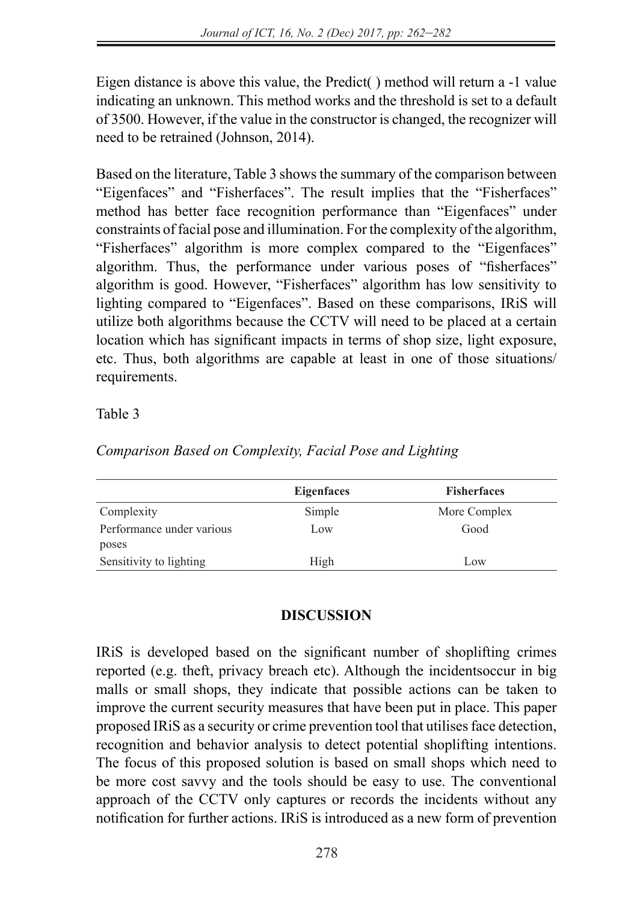Eigen distance is above this value, the Predict( ) method will return a -1 value indicating an unknown. This method works and the threshold is set to a default of 3500. However, if the value in the constructor is changed, the recognizer will need to be retrained (Johnson, 2014).

Based on the literature, Table 3 shows the summary of the comparison between "Eigenfaces" and "Fisherfaces". The result implies that the "Fisherfaces" method has better face recognition performance than "Eigenfaces" under constraints of facial pose and illumination. For the complexity of the algorithm, "Fisherfaces" algorithm is more complex compared to the "Eigenfaces" algorithm. Thus, the performance under various poses of "fisherfaces" algorithm is good. However, "Fisherfaces" algorithm has low sensitivity to lighting compared to "Eigenfaces". Based on these comparisons, IRiS will utilize both algorithms because the CCTV will need to be placed at a certain location which has significant impacts in terms of shop size, light exposure, etc. Thus, both algorithms are capable at least in one of those situations/ requirements.

Table 3

*Comparison Based on Complexity, Facial Pose and Lighting*

|                           | <b>Eigenfaces</b> | <b>Fisherfaces</b> |
|---------------------------|-------------------|--------------------|
| Complexity                | Simple            | More Complex       |
| Performance under various | Low               | Good               |
| poses                     |                   |                    |
| Sensitivity to lighting   | High              | Low                |

# **DISCUSSION**

IRiS is developed based on the significant number of shoplifting crimes reported (e.g. theft, privacy breach etc). Although the incidentsoccur in big malls or small shops, they indicate that possible actions can be taken to improve the current security measures that have been put in place. This paper proposed IRiS as a security or crime prevention tool that utilises face detection, recognition and behavior analysis to detect potential shoplifting intentions. The focus of this proposed solution is based on small shops which need to be more cost savvy and the tools should be easy to use. The conventional approach of the CCTV only captures or records the incidents without any notification for further actions. IRiS is introduced as a new form of prevention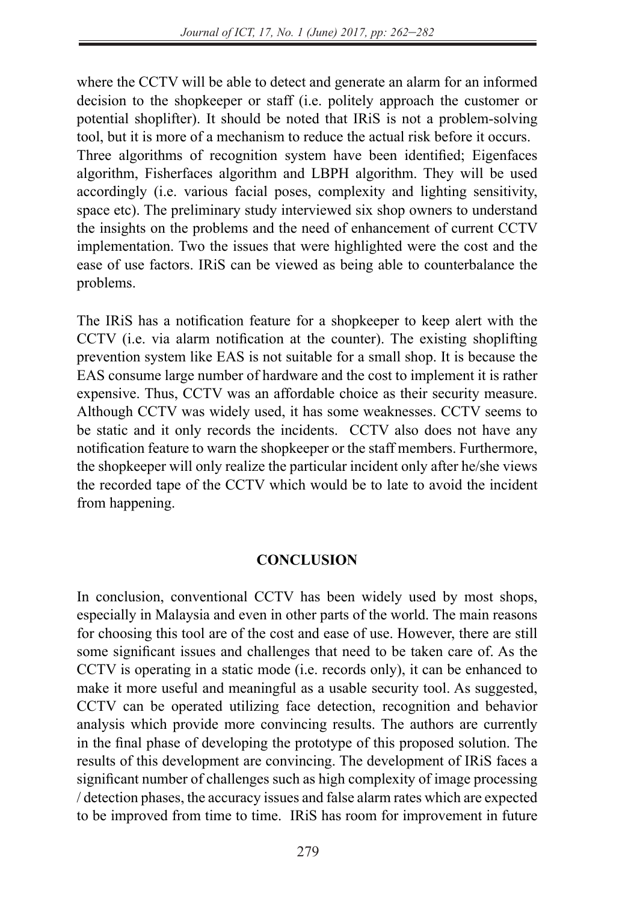where the CCTV will be able to detect and generate an alarm for an informed decision to the shopkeeper or staff (i.e. politely approach the customer or potential shoplifter). It should be noted that IRiS is not a problem-solving tool, but it is more of a mechanism to reduce the actual risk before it occurs. Three algorithms of recognition system have been identified; Eigenfaces algorithm, Fisherfaces algorithm and LBPH algorithm. They will be used accordingly (i.e. various facial poses, complexity and lighting sensitivity, space etc). The preliminary study interviewed six shop owners to understand the insights on the problems and the need of enhancement of current CCTV implementation. Two the issues that were highlighted were the cost and the ease of use factors. IRiS can be viewed as being able to counterbalance the problems.

The IRiS has a notification feature for a shopkeeper to keep alert with the CCTV (i.e. via alarm notification at the counter). The existing shoplifting prevention system like EAS is not suitable for a small shop. It is because the EAS consume large number of hardware and the cost to implement it is rather expensive. Thus, CCTV was an affordable choice as their security measure. Although CCTV was widely used, it has some weaknesses. CCTV seems to be static and it only records the incidents. CCTV also does not have any notification feature to warn the shopkeeper or the staff members. Furthermore, the shopkeeper will only realize the particular incident only after he/she views the recorded tape of the CCTV which would be to late to avoid the incident from happening.

#### **CONCLUSION**

In conclusion, conventional CCTV has been widely used by most shops, especially in Malaysia and even in other parts of the world. The main reasons for choosing this tool are of the cost and ease of use. However, there are still some significant issues and challenges that need to be taken care of. As the CCTV is operating in a static mode (i.e. records only), it can be enhanced to make it more useful and meaningful as a usable security tool. As suggested, CCTV can be operated utilizing face detection, recognition and behavior analysis which provide more convincing results. The authors are currently in the final phase of developing the prototype of this proposed solution. The results of this development are convincing. The development of IRiS faces a significant number of challenges such as high complexity of image processing / detection phases, the accuracy issues and false alarm rates which are expected to be improved from time to time. IRiS has room for improvement in future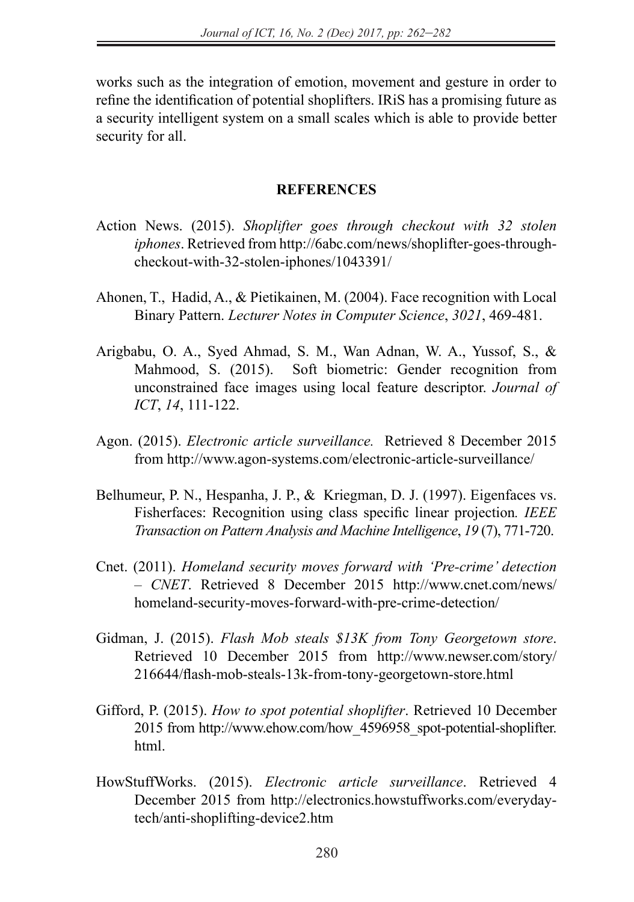works such as the integration of emotion, movement and gesture in order to refine the identification of potential shoplifters. IRiS has a promising future as a security intelligent system on a small scales which is able to provide better security for all.

#### **REFERENCES**

- Action News. (2015). *Shoplifter goes through checkout with 32 stolen iphones*. Retrieved from http://6abc.com/news/shoplifter-goes-throughcheckout-with-32-stolen-iphones/1043391/
- Ahonen, T., Hadid, A., & Pietikainen, M. (2004). Face recognition with Local Binary Pattern. *Lecturer Notes in Computer Science*, *3021*, 469-481.
- Arigbabu, O. A., Syed Ahmad, S. M., Wan Adnan, W. A., Yussof, S., & Mahmood, S. (2015). Soft biometric: Gender recognition from unconstrained face images using local feature descriptor. *Journal of ICT*, *14*, 111-122.
- Agon. (2015). *Electronic article surveillance.* Retrieved 8 December 2015 from http://www.agon-systems.com/electronic-article-surveillance/
- Belhumeur, P. N., Hespanha, J. P., & Kriegman, D. J. (1997). Eigenfaces vs. Fisherfaces: Recognition using class specific linear projection*. IEEE Transaction on Pattern Analysis and Machine Intelligence*, *19* (7), 771-720.
- Cnet. (2011). *Homeland security moves forward with 'Pre-crime' detection – CNET*. Retrieved 8 December 2015 http://www.cnet.com/news/ homeland-security-moves-forward-with-pre-crime-detection/
- Gidman, J. (2015). *Flash Mob steals \$13K from Tony Georgetown store*. Retrieved 10 December 2015 from http://www.newser.com/story/ 216644/flash-mob-steals-13k-from-tony-georgetown-store.html
- Gifford, P. (2015). *How to spot potential shoplifter*. Retrieved 10 December 2015 from http://www.ehow.com/how\_4596958\_spot-potential-shoplifter. html.
- HowStuffWorks. (2015). *Electronic article surveillance*. Retrieved 4 December 2015 from http://electronics.howstuffworks.com/everydaytech/anti-shoplifting-device2.htm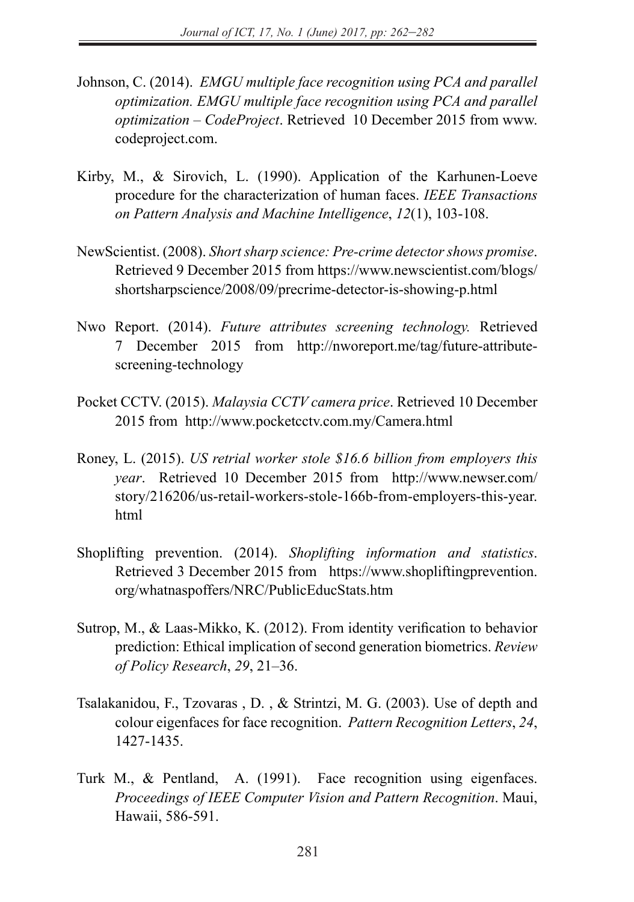- Johnson, C. (2014). *EMGU multiple face recognition using PCA and parallel optimization. EMGU multiple face recognition using PCA and parallel optimization – CodeProject*. Retrieved 10 December 2015 from www. codeproject.com.
- Kirby, M., & Sirovich, L. (1990). Application of the Karhunen-Loeve procedure for the characterization of human faces. *IEEE Transactions on Pattern Analysis and Machine Intelligence*, *12*(1), 103-108.
- NewScientist. (2008). *Shortsharp science: Pre-crime detector shows promise*. Retrieved 9 December 2015 from https://www.newscientist.com/blogs/ shortsharpscience/2008/09/precrime-detector-is-showing-p.html
- Nwo Report. (2014). *Future attributes screening technology.* Retrieved 7 December 2015 from http://nworeport.me/tag/future-attributescreening-technology
- Pocket CCTV. (2015). *Malaysia CCTV camera price*. Retrieved 10 December 2015 from http://www.pocketcctv.com.my/Camera.html
- Roney, L. (2015). *US retrial worker stole \$16.6 billion from employers this year*. Retrieved 10 December 2015 from http://www.newser.com/ story/216206/us-retail-workers-stole-166b-from-employers-this-year. html
- Shoplifting prevention. (2014). *Shoplifting information and statistics*. Retrieved 3 December 2015 from https://www.shopliftingprevention. org/whatnaspoffers/NRC/PublicEducStats.htm
- Sutrop, M., & Laas-Mikko, K. (2012). From identity verification to behavior prediction: Ethical implication of second generation biometrics. *Review of Policy Research*, *29*, 21–36.
- Tsalakanidou, F., Tzovaras , D. , & Strintzi, M. G. (2003). Use of depth and colour eigenfaces for face recognition. *Pattern Recognition Letters*, *24*, 1427-1435.
- Turk M., & Pentland, A. (1991). Face recognition using eigenfaces. *Proceedings of IEEE Computer Vision and Pattern Recognition*. Maui, Hawaii, 586-591.